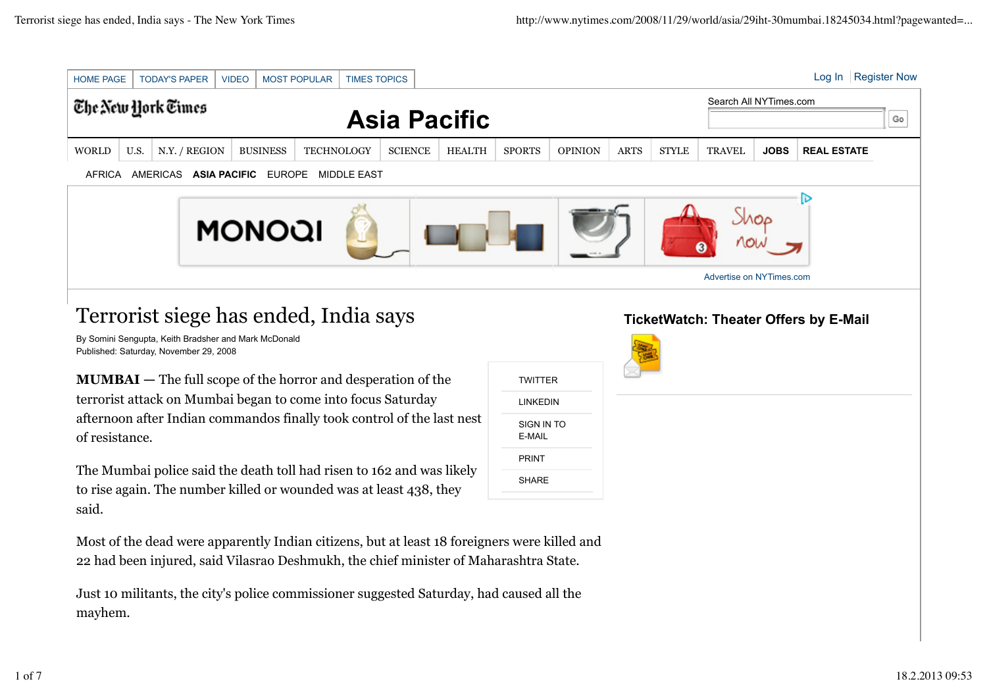

Just 10 militants, the city's police commissioner suggested Saturday, had caused all the mayhem.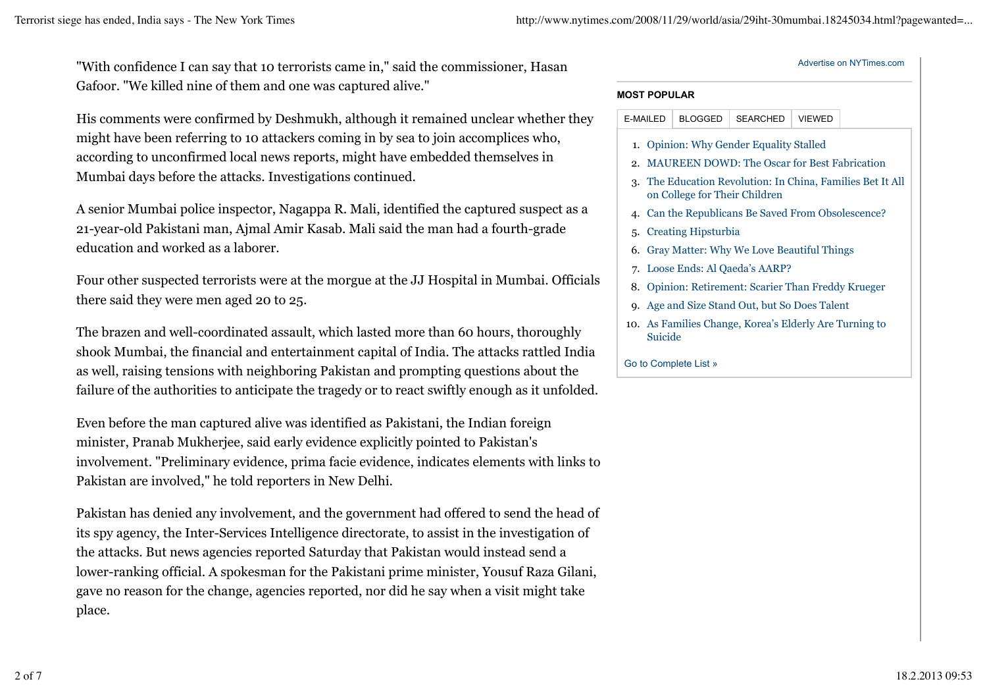"With confidence I can say that 10 terrorists came in," said the commissioner, Hasan Gafoor. "We killed nine of them and one was captured alive."

His comments were confirmed by Deshmukh, although it remained unclear whether they might have been referring to 10 attackers coming in by sea to join accomplices who, according to unconfirmed local news reports, might have embedded themselves in Mumbai days before the attacks. Investigations continued.

A senior Mumbai police inspector, Nagappa R. Mali, identified the captured suspect as a 21-year-old Pakistani man, Ajmal Amir Kasab. Mali said the man had a fourth-grade education and worked as a laborer.

Four other suspected terrorists were at the morgue at the JJ Hospital in Mumbai. Officials there said they were men aged 20 to 25.

The brazen and well-coordinated assault, which lasted more than 60 hours, thoroughly shook Mumbai, the financial and entertainment capital of India. The attacks rattled India as well, raising tensions with neighboring Pakistan and prompting questions about the failure of the authorities to anticipate the tragedy or to react swiftly enough as it unfolded.

Even before the man captured alive was identified as Pakistani, the Indian foreign minister, Pranab Mukherjee, said early evidence explicitly pointed to Pakistan's involvement. "Preliminary evidence, prima facie evidence, indicates elements with links to Pakistan are involved," he told reporters in New Delhi.

Pakistan has denied any involvement, and the government had offered to send the head of its spy agency, the Inter-Services Intelligence directorate, to assist in the investigation of the attacks. But news agencies reported Saturday that Pakistan would instead send a lower-ranking official. A spokesman for the Pakistani prime minister, Yousuf Raza Gilani, gave no reason for the change, agencies reported, nor did he say when a visit might take place.

## Advertise on NYTimes.com **MOST POPULAR** 1. Opinion: Why Gender Equality Stalled 2. MAUREEN DOWD: The Oscar for Best Fabrication The Education Revolution: In China, Families Bet It All 3. on College for Their Children 4. Can the Republicans Be Saved From Obsolescence? 5. Creating Hipsturbia 6. Gray Matter: Why We Love Beautiful Things 7. Loose Ends: Al Qaeda's AARP? 8. Opinion: Retirement: Scarier Than Freddy Krueger E-MAILED BLOGGED SEARCHED VIEWED

- 9. Age and Size Stand Out, but So Does Talent
- 10. As Families Change, Korea's Elderly Are Turning to Suicide

Go to Complete List »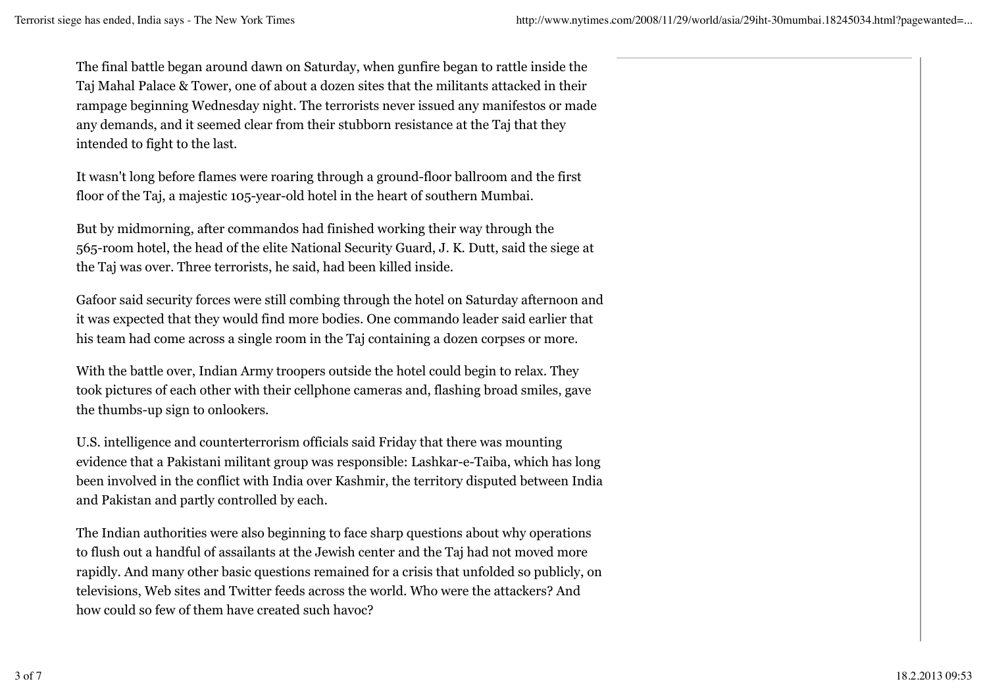The final battle began around dawn on Saturday, when gunfire began to rattle inside the Taj Mahal Palace & Tower, one of about a dozen sites that the militants attacked in their rampage beginning Wednesday night. The terrorists never issued any manifestos or made any demands, and it seemed clear from their stubborn resistance at the Taj that they intended to fight to the last.

It wasn't long before flames were roaring through a ground-floor ballroom and the first floor of the Taj, a majestic 105-year-old hotel in the heart of southern Mumbai.

But by midmorning, after commandos had finished working their way through the 565-room hotel, the head of the elite National Security Guard, J. K. Dutt, said the siege at the Taj was over. Three terrorists, he said, had been killed inside.

Gafoor said security forces were still combing through the hotel on Saturday afternoon and it was expected that they would find more bodies. One commando leader said earlier that his team had come across a single room in the Taj containing a dozen corpses or more.

With the battle over, Indian Army troopers outside the hotel could begin to relax. They took pictures of each other with their cellphone cameras and, flashing broad smiles, gave the thumbs-up sign to onlookers.

U.S. intelligence and counterterrorism officials said Friday that there was mounting evidence that a Pakistani militant group was responsible: Lashkar-e-Taiba, which has long been involved in the conflict with India over Kashmir, the territory disputed between India and Pakistan and partly controlled by each.

The Indian authorities were also beginning to face sharp questions about why operations to flush out a handful of assailants at the Jewish center and the Taj had not moved more rapidly. And many other basic questions remained for a crisis that unfolded so publicly, on televisions, Web sites and Twitter feeds across the world. Who were the attackers? And how could so few of them have created such havoc?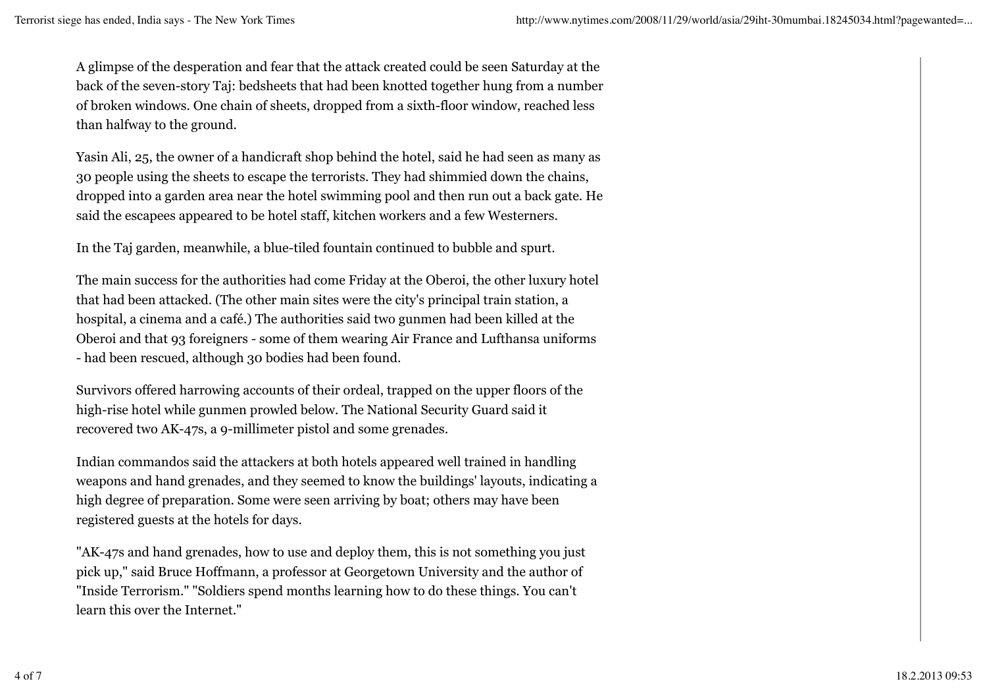A glimpse of the desperation and fear that the attack created could be seen Saturday at the back of the seven-story Taj: bedsheets that had been knotted together hung from a number of broken windows. One chain of sheets, dropped from a sixth-floor window, reached less than halfway to the ground.

Yasin Ali, 25, the owner of a handicraft shop behind the hotel, said he had seen as many as 30 people using the sheets to escape the terrorists. They had shimmied down the chains, dropped into a garden area near the hotel swimming pool and then run out a back gate. He said the escapees appeared to be hotel staff, kitchen workers and a few Westerners.

In the Taj garden, meanwhile, a blue-tiled fountain continued to bubble and spurt.

The main success for the authorities had come Friday at the Oberoi, the other luxury hotel that had been attacked. (The other main sites were the city's principal train station, a hospital, a cinema and a café.) The authorities said two gunmen had been killed at the Oberoi and that 93 foreigners - some of them wearing Air France and Lufthansa uniforms - had been rescued, although 30 bodies had been found.

Survivors offered harrowing accounts of their ordeal, trapped on the upper floors of the high-rise hotel while gunmen prowled below. The National Security Guard said it recovered two AK-47s, a 9-millimeter pistol and some grenades.

Indian commandos said the attackers at both hotels appeared well trained in handling weapons and hand grenades, and they seemed to know the buildings' layouts, indicating a high degree of preparation. Some were seen arriving by boat; others may have been registered guests at the hotels for days.

"AK-47s and hand grenades, how to use and deploy them, this is not something you just pick up," said Bruce Hoffmann, a professor at Georgetown University and the author of "Inside Terrorism." "Soldiers spend months learning how to do these things. You can't learn this over the Internet."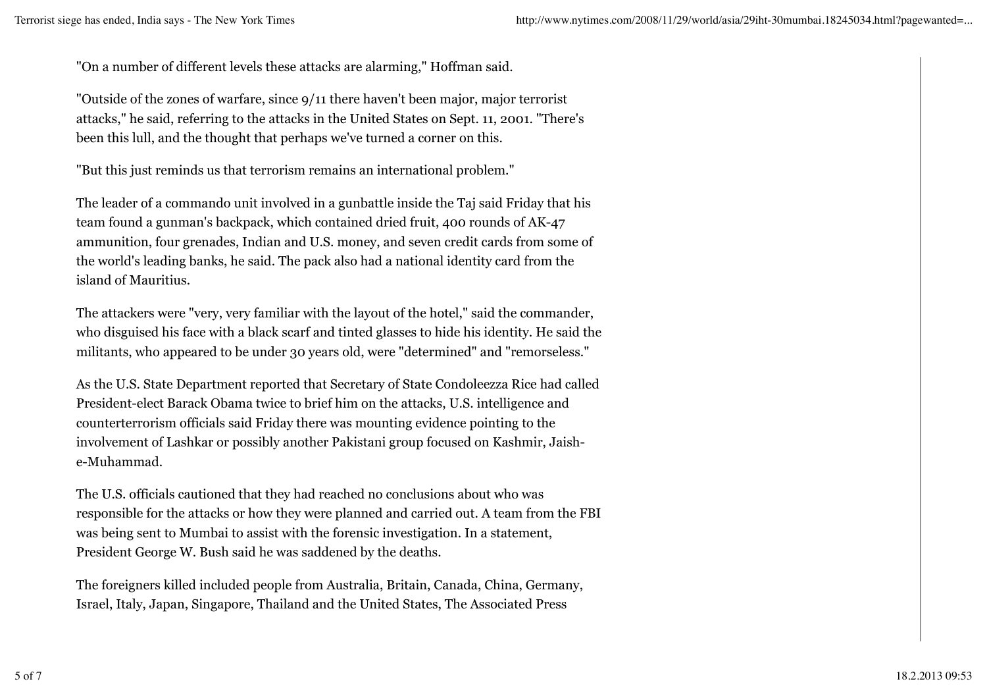"On a number of different levels these attacks are alarming," Hoffman said.

"Outside of the zones of warfare, since 9/11 there haven't been major, major terrorist attacks," he said, referring to the attacks in the United States on Sept. 11, 2001. "There's been this lull, and the thought that perhaps we've turned a corner on this.

"But this just reminds us that terrorism remains an international problem."

The leader of a commando unit involved in a gunbattle inside the Taj said Friday that his team found a gunman's backpack, which contained dried fruit, 400 rounds of AK-47 ammunition, four grenades, Indian and U.S. money, and seven credit cards from some of the world's leading banks, he said. The pack also had a national identity card from the island of Mauritius.

The attackers were "very, very familiar with the layout of the hotel," said the commander, who disguised his face with a black scarf and tinted glasses to hide his identity. He said the militants, who appeared to be under 30 years old, were "determined" and "remorseless."

As the U.S. State Department reported that Secretary of State Condoleezza Rice had called President-elect Barack Obama twice to brief him on the attacks, U.S. intelligence and counterterrorism officials said Friday there was mounting evidence pointing to the involvement of Lashkar or possibly another Pakistani group focused on Kashmir, Jaishe-Muhammad.

The U.S. officials cautioned that they had reached no conclusions about who was responsible for the attacks or how they were planned and carried out. A team from the FBI was being sent to Mumbai to assist with the forensic investigation. In a statement, President George W. Bush said he was saddened by the deaths.

The foreigners killed included people from Australia, Britain, Canada, China, Germany, Israel, Italy, Japan, Singapore, Thailand and the United States, The Associated Press